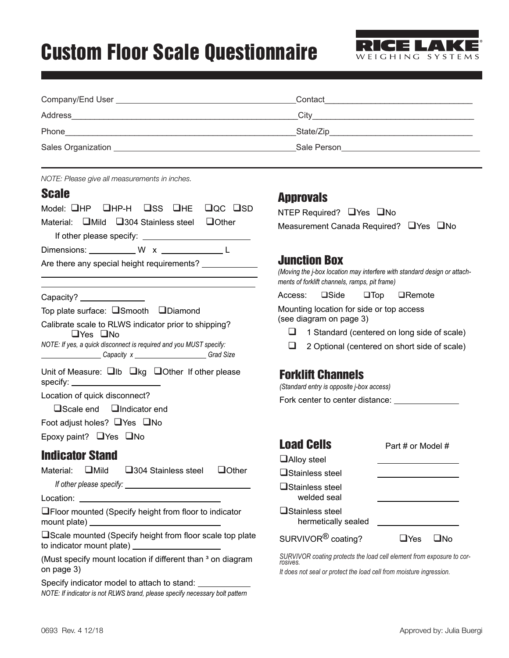## Custom Floor Scale Questionnaire



| Sales Organization <b>Contract Contract Contract Contract Contract Contract Contract Contract Contract Contract Contract Contract Contract Contract Contract Contract Contract Contract Contract Contract Contract Contract Cont</b> |                                                                                                                                                          |                                                      |
|--------------------------------------------------------------------------------------------------------------------------------------------------------------------------------------------------------------------------------------|----------------------------------------------------------------------------------------------------------------------------------------------------------|------------------------------------------------------|
| NOTE: Please give all measurements in inches.<br><b>Scale</b><br>Model: $\Box$ HP $\Box$ HP-H $\Box$ SS $\Box$ HE<br>$Q_{\rm QC}$ $Q_{\rm SD}$<br>Material: $\Box$ Mild $\Box$ 304 Stainless steel<br>$\bigcup$ Other                | <b>Approvals</b><br>NTEP Required? $\Box$ Yes $\Box$ No<br>Measurement Canada Required? □ Yes □ No                                                       |                                                      |
| Dimensions: ____________ W x ______________ L<br>Are there any special height requirements?<br><u> 1989 - Johann Stein, mars an deus Amerikaansk kommunister (</u>                                                                   | <b>Junction Box</b><br>(Moving the j-box location may interfere with standard design or attach-<br>ments of forklift channels, ramps, pit frame)         |                                                      |
| Capacity? _______________<br>Top plate surface: $\square$ Smooth $\square$ Diamond                                                                                                                                                   | Access: □Side □Top □Remote<br>Mounting location for side or top access                                                                                   |                                                      |
| Calibrate scale to RLWS indicator prior to shipping?<br>□Yes □No<br>NOTE: If yes, a quick disconnect is required and you MUST specify:<br>Capacity x _______________Grad Size                                                        | (see diagram on page 3)<br>⊔<br>1 Standard (centered on long side of scale)<br>2 Optional (centered on short side of scale)<br>ப                         |                                                      |
| Unit of Measure: $\Box$ Ib $\Box$ kg $\Box$ Other If other please<br>specify: ______________________<br>Location of quick disconnect?<br>$\square$ Scale end $\square$ Indicator end<br>Foot adjust holes? □ Yes □ No                | <b>Forklift Channels</b><br>(Standard entry is opposite j-box access)                                                                                    |                                                      |
| Epoxy paint? $\Box$ Yes $\Box$ No                                                                                                                                                                                                    |                                                                                                                                                          |                                                      |
| <b>Indicator Stand</b><br>$\Box$ Mild<br>$\Box$ Other<br>Material:<br>$\square$ 304 Stainless steel                                                                                                                                  | <b>Load Cells</b><br>$\Box$ Alloy steel<br>□Stainless steel<br><b>□</b> Stainless steel<br>welded seal                                                   | Part # or Model #                                    |
| □Floor mounted (Specify height from floor to indicator<br>mount plate) __________________________________                                                                                                                            | $\sqcup$ Stainless steel<br>hermetically sealed                                                                                                          | <u>production of the contract of the contract of</u> |
| □Scale mounted (Specify height from floor scale top plate<br>to indicator mount plate) _____________________                                                                                                                         | SURVIVOR <sup>®</sup> coating?                                                                                                                           | $\Box$ Yes<br>$\square$ No                           |
| (Must specify mount location if different than <sup>3</sup> on diagram<br>on page 3)                                                                                                                                                 | SURVIVOR coating protects the load cell element from exposure to cor-<br>rosives.<br>It does not seal or protect the load cell from moisture ingression. |                                                      |
| Specify indicator model to attach to stand: ___________                                                                                                                                                                              |                                                                                                                                                          |                                                      |